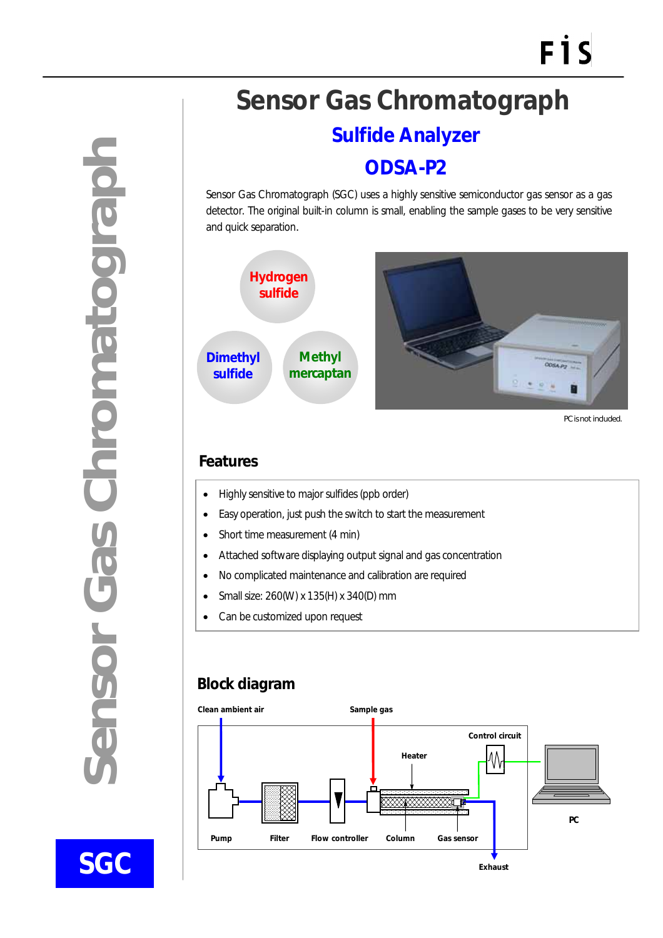**Sensor Gas Chromatograph**  densor Gas Chromatograph

**SGC** 

 $\overline{a}$ 

# **Sensor Gas Chromatograph**

## **Sulfide Analyzer**

## **ODSA-P2**

Sensor Gas Chromatograph (SGC) uses a highly sensitive semiconductor gas sensor as a gas detector. The original built-in column is small, enabling the sample gases to be very sensitive and quick separation.



PC is not included.

#### **Features**

- Highly sensitive to major sulfides (ppb order)
- Easy operation, just push the switch to start the measurement
- Short time measurement (4 min)
- Attached software displaying output signal and gas concentration
- No complicated maintenance and calibration are required
- Small size: 260(W) x 135(H) x 340(D) mm
- Can be customized upon request

### **Block diagram**